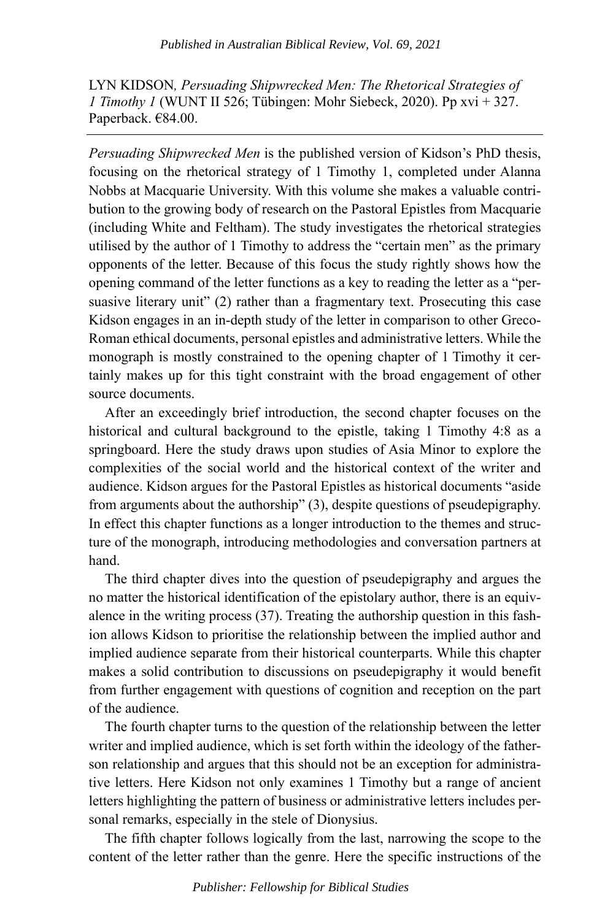LYN KIDSON*, Persuading Shipwrecked Men: The Rhetorical Strategies of 1 Timothy 1* (WUNT II 526; Tübingen: Mohr Siebeck, 2020). Pp xvi + 327. Paperback. €84.00.

*Persuading Shipwrecked Men* is the published version of Kidson's PhD thesis, focusing on the rhetorical strategy of 1 Timothy 1, completed under Alanna Nobbs at Macquarie University. With this volume she makes a valuable contribution to the growing body of research on the Pastoral Epistles from Macquarie (including White and Feltham). The study investigates the rhetorical strategies utilised by the author of 1 Timothy to address the "certain men" as the primary opponents of the letter. Because of this focus the study rightly shows how the opening command of the letter functions as a key to reading the letter as a "persuasive literary unit" (2) rather than a fragmentary text. Prosecuting this case Kidson engages in an in-depth study of the letter in comparison to other Greco-Roman ethical documents, personal epistles and administrative letters. While the monograph is mostly constrained to the opening chapter of 1 Timothy it certainly makes up for this tight constraint with the broad engagement of other source documents.

After an exceedingly brief introduction, the second chapter focuses on the historical and cultural background to the epistle, taking 1 Timothy 4:8 as a springboard. Here the study draws upon studies of Asia Minor to explore the complexities of the social world and the historical context of the writer and audience. Kidson argues for the Pastoral Epistles as historical documents "aside from arguments about the authorship" (3), despite questions of pseudepigraphy. In effect this chapter functions as a longer introduction to the themes and structure of the monograph, introducing methodologies and conversation partners at hand.

The third chapter dives into the question of pseudepigraphy and argues the no matter the historical identification of the epistolary author, there is an equivalence in the writing process (37). Treating the authorship question in this fashion allows Kidson to prioritise the relationship between the implied author and implied audience separate from their historical counterparts. While this chapter makes a solid contribution to discussions on pseudepigraphy it would benefit from further engagement with questions of cognition and reception on the part of the audience.

The fourth chapter turns to the question of the relationship between the letter writer and implied audience, which is set forth within the ideology of the fatherson relationship and argues that this should not be an exception for administrative letters. Here Kidson not only examines 1 Timothy but a range of ancient letters highlighting the pattern of business or administrative letters includes personal remarks, especially in the stele of Dionysius.

The fifth chapter follows logically from the last, narrowing the scope to the content of the letter rather than the genre. Here the specific instructions of the